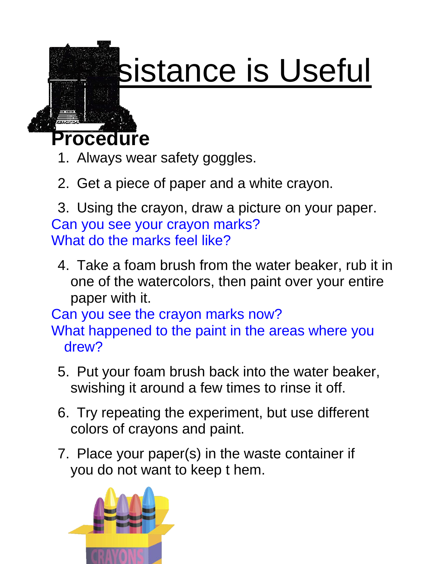

## sistance is Useful

**Procedure**

- 1. Always wear safety goggles.
- 2. Get a piece of paper and a white crayon.

3. Using the crayon, draw a picture on your paper. Can you see your crayon marks? What do the marks feel like?

4. Take a foam brush from the water beaker, rub it in one of the watercolors, then paint over your entire paper with it.

Can you see the crayon marks now?

What happened to the paint in the areas where you drew?

- 5. Put your foam brush back into the water beaker, swishing it around a few times to rinse it off.
- 6. Try repeating the experiment, but use different colors of crayons and paint.
- 7. Place your paper(s) in the waste container if you do not want to keep t hem.